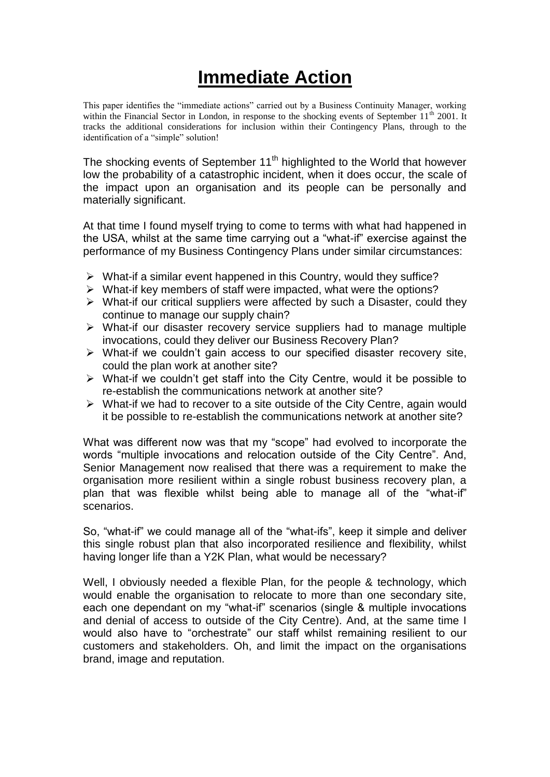## **Immediate Action**

This paper identifies the "immediate actions" carried out by a Business Continuity Manager, working within the Financial Sector in London, in response to the shocking events of September 11<sup>th</sup> 2001. It tracks the additional considerations for inclusion within their Contingency Plans, through to the identification of a "simple" solution!

The shocking events of September  $11<sup>th</sup>$  highlighted to the World that however low the probability of a catastrophic incident, when it does occur, the scale of the impact upon an organisation and its people can be personally and materially significant.

At that time I found myself trying to come to terms with what had happened in the USA, whilst at the same time carrying out a "what-if" exercise against the performance of my Business Contingency Plans under similar circumstances:

- $\triangleright$  What-if a similar event happened in this Country, would they suffice?
- $\triangleright$  What-if key members of staff were impacted, what were the options?
- $\triangleright$  What-if our critical suppliers were affected by such a Disaster, could they continue to manage our supply chain?
- $\triangleright$  What-if our disaster recovery service suppliers had to manage multiple invocations, could they deliver our Business Recovery Plan?
- $\triangleright$  What-if we couldn't gain access to our specified disaster recovery site, could the plan work at another site?
- $\triangleright$  What-if we couldn't get staff into the City Centre, would it be possible to re-establish the communications network at another site?
- $\triangleright$  What-if we had to recover to a site outside of the City Centre, again would it be possible to re-establish the communications network at another site?

What was different now was that my "scope" had evolved to incorporate the words "multiple invocations and relocation outside of the City Centre". And, Senior Management now realised that there was a requirement to make the organisation more resilient within a single robust business recovery plan, a plan that was flexible whilst being able to manage all of the "what-if" scenarios.

So, "what-if" we could manage all of the "what-ifs", keep it simple and deliver this single robust plan that also incorporated resilience and flexibility, whilst having longer life than a Y2K Plan, what would be necessary?

Well, I obviously needed a flexible Plan, for the people & technology, which would enable the organisation to relocate to more than one secondary site, each one dependant on my "what-if" scenarios (single & multiple invocations and denial of access to outside of the City Centre). And, at the same time I would also have to "orchestrate" our staff whilst remaining resilient to our customers and stakeholders. Oh, and limit the impact on the organisations brand, image and reputation.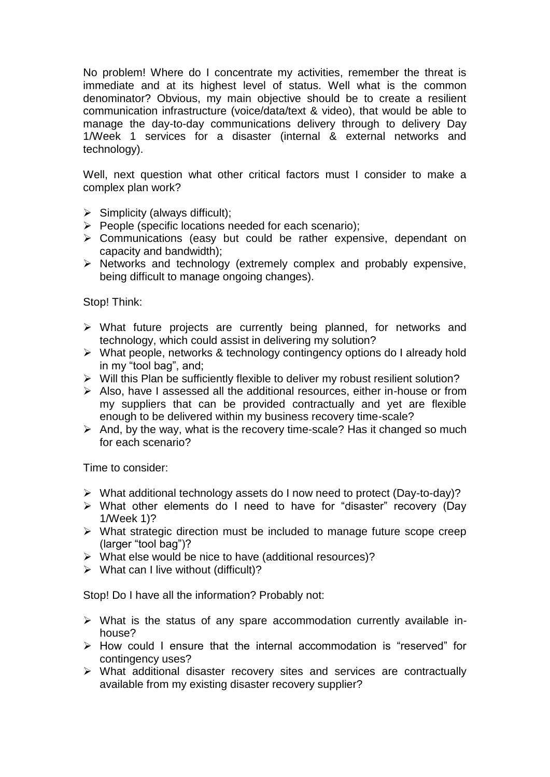No problem! Where do I concentrate my activities, remember the threat is immediate and at its highest level of status. Well what is the common denominator? Obvious, my main objective should be to create a resilient communication infrastructure (voice/data/text & video), that would be able to manage the day-to-day communications delivery through to delivery Day 1/Week 1 services for a disaster (internal & external networks and technology).

Well, next question what other critical factors must I consider to make a complex plan work?

- $\triangleright$  Simplicity (always difficult);
- $\triangleright$  People (specific locations needed for each scenario);
- Communications (easy but could be rather expensive, dependant on capacity and bandwidth);
- $\triangleright$  Networks and technology (extremely complex and probably expensive, being difficult to manage ongoing changes).

Stop! Think:

- $\triangleright$  What future projects are currently being planned, for networks and technology, which could assist in delivering my solution?
- $\triangleright$  What people, networks & technology contingency options do I already hold in my "tool bag", and;
- $\triangleright$  Will this Plan be sufficiently flexible to deliver my robust resilient solution?
- Also, have I assessed all the additional resources, either in-house or from my suppliers that can be provided contractually and yet are flexible enough to be delivered within my business recovery time-scale?
- $\triangleright$  And, by the way, what is the recovery time-scale? Has it changed so much for each scenario?

Time to consider:

- What additional technology assets do I now need to protect (Day-to-day)?
- What other elements do I need to have for "disaster" recovery (Day 1/Week 1)?
- $\triangleright$  What strategic direction must be included to manage future scope creep (larger "tool bag")?
- $\triangleright$  What else would be nice to have (additional resources)?
- $\triangleright$  What can I live without (difficult)?

Stop! Do I have all the information? Probably not:

- What is the status of any spare accommodation currently available inhouse?
- $\triangleright$  How could I ensure that the internal accommodation is "reserved" for contingency uses?
- What additional disaster recovery sites and services are contractually available from my existing disaster recovery supplier?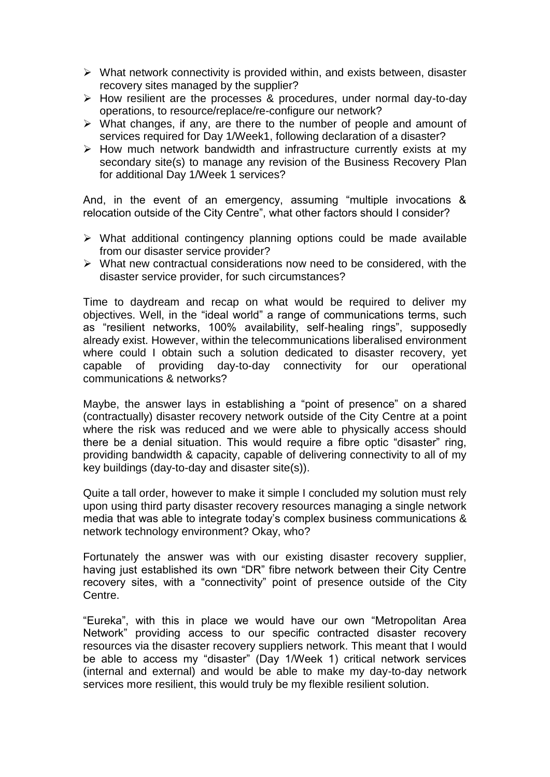- $\triangleright$  What network connectivity is provided within, and exists between, disaster recovery sites managed by the supplier?
- $\triangleright$  How resilient are the processes & procedures, under normal day-to-day operations, to resource/replace/re-configure our network?
- $\triangleright$  What changes, if any, are there to the number of people and amount of services required for Day 1/Week1, following declaration of a disaster?
- $\triangleright$  How much network bandwidth and infrastructure currently exists at my secondary site(s) to manage any revision of the Business Recovery Plan for additional Day 1/Week 1 services?

And, in the event of an emergency, assuming "multiple invocations & relocation outside of the City Centre", what other factors should I consider?

- $\triangleright$  What additional contingency planning options could be made available from our disaster service provider?
- $\triangleright$  What new contractual considerations now need to be considered, with the disaster service provider, for such circumstances?

Time to daydream and recap on what would be required to deliver my objectives. Well, in the "ideal world" a range of communications terms, such as "resilient networks, 100% availability, self-healing rings", supposedly already exist. However, within the telecommunications liberalised environment where could I obtain such a solution dedicated to disaster recovery, yet capable of providing day-to-day connectivity for our operational communications & networks?

Maybe, the answer lays in establishing a "point of presence" on a shared (contractually) disaster recovery network outside of the City Centre at a point where the risk was reduced and we were able to physically access should there be a denial situation. This would require a fibre optic "disaster" ring, providing bandwidth & capacity, capable of delivering connectivity to all of my key buildings (day-to-day and disaster site(s)).

Quite a tall order, however to make it simple I concluded my solution must rely upon using third party disaster recovery resources managing a single network media that was able to integrate today's complex business communications & network technology environment? Okay, who?

Fortunately the answer was with our existing disaster recovery supplier, having just established its own "DR" fibre network between their City Centre recovery sites, with a "connectivity" point of presence outside of the City Centre.

"Eureka", with this in place we would have our own "Metropolitan Area Network" providing access to our specific contracted disaster recovery resources via the disaster recovery suppliers network. This meant that I would be able to access my "disaster" (Day 1/Week 1) critical network services (internal and external) and would be able to make my day-to-day network services more resilient, this would truly be my flexible resilient solution.